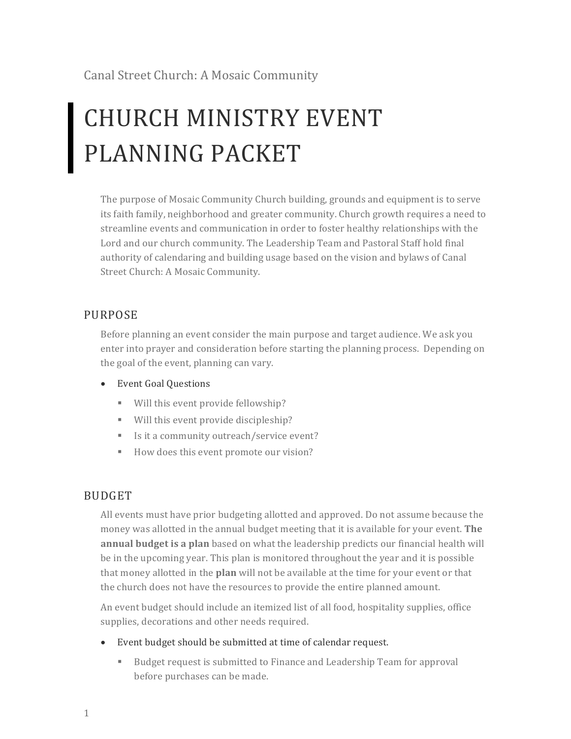Canal Street Church: A Mosaic Community

# CHURCH MINISTRY EVENT PLANNING PACKET

The purpose of Mosaic Community Church building, grounds and equipment is to serve its faith family, neighborhood and greater community. Church growth requires a need to streamline events and communication in order to foster healthy relationships with the Lord and our church community. The Leadership Team and Pastoral Staff hold final authority of calendaring and building usage based on the vision and bylaws of Canal Street Church: A Mosaic Community.

## PURPOSE

Before planning an event consider the main purpose and target audience. We ask you enter into prayer and consideration before starting the planning process. Depending on the goal of the event, planning can vary.

- Event Goal Questions
	- Will this event provide fellowship?
	- Will this event provide discipleship?
	- Is it a community outreach/service event?
	- How does this event promote our vision?

## BUDGET

All events must have prior budgeting allotted and approved. Do not assume because the money was allotted in the annual budget meeting that it is available for your event. The **annual budget is a plan** based on what the leadership predicts our financial health will be in the upcoming year. This plan is monitored throughout the year and it is possible that money allotted in the **plan** will not be available at the time for your event or that the church does not have the resources to provide the entire planned amount.

An event budget should include an itemized list of all food, hospitality supplies, office supplies, decorations and other needs required.

- Event budget should be submitted at time of calendar request.
	- Budget request is submitted to Finance and Leadership Team for approval before purchases can be made.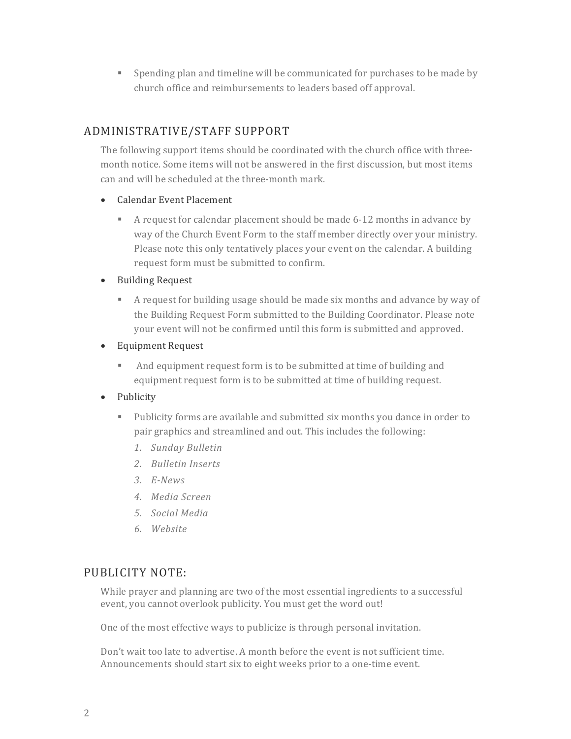■ Spending plan and timeline will be communicated for purchases to be made by church office and reimbursements to leaders based off approval.

## ADMINISTRATIVE/STAFF SUPPORT

The following support items should be coordinated with the church office with threemonth notice. Some items will not be answered in the first discussion, but most items can and will be scheduled at the three-month mark.

- Calendar Event Placement
	- A request for calendar placement should be made 6-12 months in advance by way of the Church Event Form to the staff member directly over your ministry. Please note this only tentatively places your event on the calendar. A building request form must be submitted to confirm.
- Building Request
	- **•** A request for building usage should be made six months and advance by way of the Building Request Form submitted to the Building Coordinator. Please note your event will not be confirmed until this form is submitted and approved.
- Equipment Request
	- And equipment request form is to be submitted at time of building and equipment request form is to be submitted at time of building request.
- Publicity
	- **•** Publicity forms are available and submitted six months you dance in order to pair graphics and streamlined and out. This includes the following:
		- *1. Sunday Bulletin*
		- *2. Bulletin Inserts*
		- *3. E-News*
		- *4. Media Screen*
		- *5. Social Media*
		- *6. Website*

## PUBLICITY NOTE:

While prayer and planning are two of the most essential ingredients to a successful event, you cannot overlook publicity. You must get the word out!

One of the most effective ways to publicize is through personal invitation.

Don't wait too late to advertise. A month before the event is not sufficient time. Announcements should start six to eight weeks prior to a one-time event.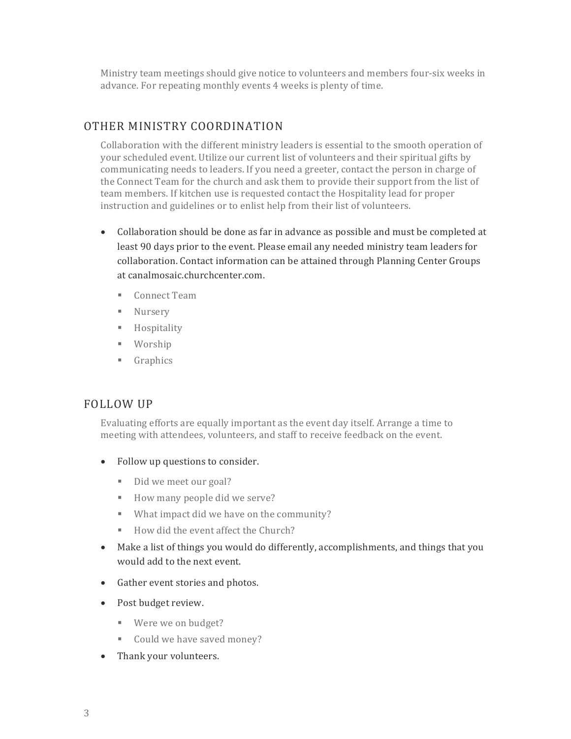Ministry team meetings should give notice to volunteers and members four-six weeks in advance. For repeating monthly events 4 weeks is plenty of time.

### OTHER MINISTRY COORDINATION

Collaboration with the different ministry leaders is essential to the smooth operation of your scheduled event. Utilize our current list of volunteers and their spiritual gifts by communicating needs to leaders. If you need a greeter, contact the person in charge of the Connect Team for the church and ask them to provide their support from the list of team members. If kitchen use is requested contact the Hospitality lead for proper instruction and guidelines or to enlist help from their list of volunteers.

- Collaboration should be done as far in advance as possible and must be completed at least 90 days prior to the event. Please email any needed ministry team leaders for collaboration. Contact information can be attained through Planning Center Groups at canalmosaic.churchcenter.com.
	- Connect Team
	- Nursery
	- § Hospitality
	- § Worship
	- § Graphics

#### FOLLOW UP

Evaluating efforts are equally important as the event day itself. Arrange a time to meeting with attendees, volunteers, and staff to receive feedback on the event.

- Follow up questions to consider.
	- Did we meet our goal?
	- How many people did we serve?
	- What impact did we have on the community?
	- How did the event affect the Church?
- Make a list of things you would do differently, accomplishments, and things that you would add to the next event.
- Gather event stories and photos.
- Post budget review.
	- Were we on budget?
	- Could we have saved money?
- Thank your volunteers.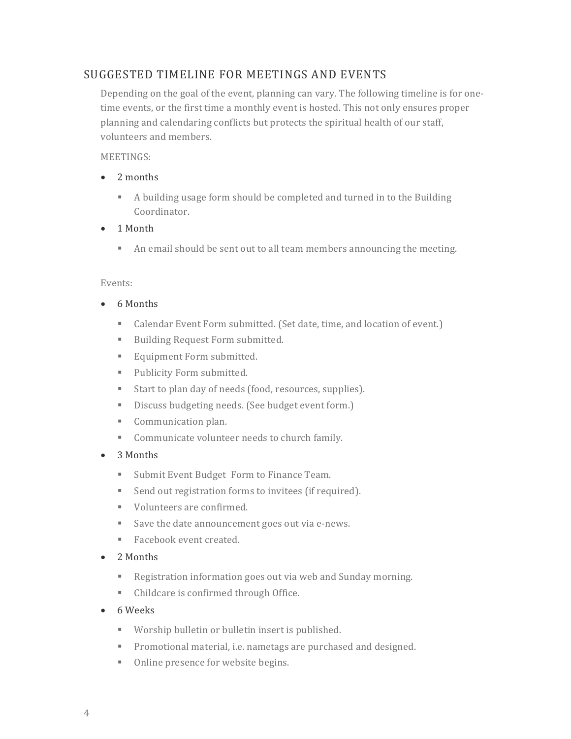## SUGGESTED TIMELINE FOR MEETINGS AND EVENTS

Depending on the goal of the event, planning can vary. The following timeline is for onetime events, or the first time a monthly event is hosted. This not only ensures proper planning and calendaring conflicts but protects the spiritual health of our staff, volunteers and members.

#### MEETINGS:

- 2 months
	- A building usage form should be completed and turned in to the Building Coordinator.
- 1 Month
	- An email should be sent out to all team members announcing the meeting.

#### Events:

- 6 Months
	- Calendar Event Form submitted. (Set date, time, and location of event.)
	- Building Request Form submitted.
	- Equipment Form submitted.
	- Publicity Form submitted.
	- Start to plan day of needs (food, resources, supplies).
	- Discuss budgeting needs. (See budget event form.)
	- Communication plan.
	- Communicate volunteer needs to church family.
- 3 Months
	- Submit Event Budget Form to Finance Team.
	- Send out registration forms to invitees (if required).
	- Volunteers are confirmed.
	- Save the date announcement goes out via e-news.
	- Facebook event created.
- 2 Months
	- Registration information goes out via web and Sunday morning.
	- Childcare is confirmed through Office.
- 6 Weeks
	- Worship bulletin or bulletin insert is published.
	- **•** Promotional material, i.e. nametags are purchased and designed.
	- Online presence for website begins.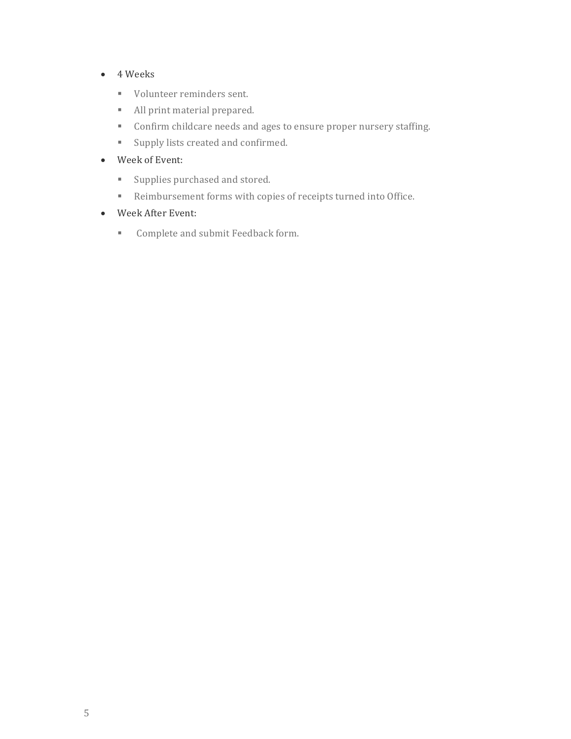- 4 Weeks
	- Volunteer reminders sent.
	- All print material prepared.
	- Confirm childcare needs and ages to ensure proper nursery staffing.
	- Supply lists created and confirmed.
- Week of Event:
	- Supplies purchased and stored.
	- Reimbursement forms with copies of receipts turned into Office.
- Week After Event:
	- Complete and submit Feedback form.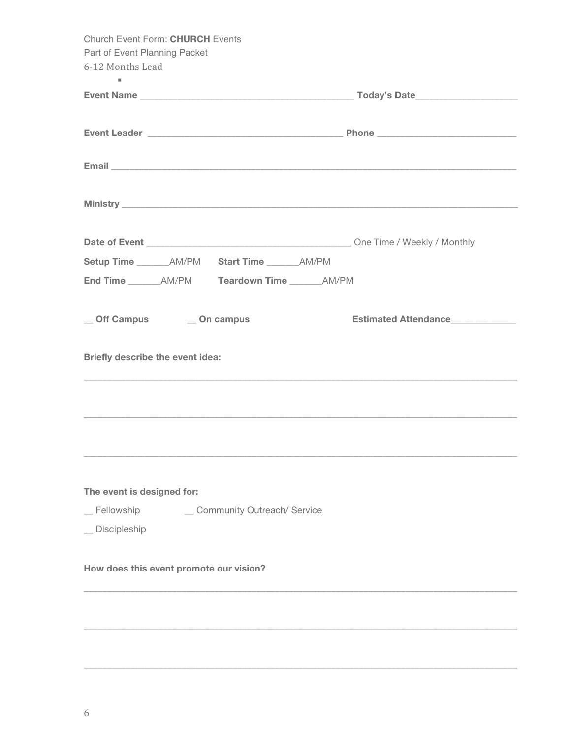| <b>Church Event Form: CHURCH Events</b>                                                                                                                                                                                        |                      |
|--------------------------------------------------------------------------------------------------------------------------------------------------------------------------------------------------------------------------------|----------------------|
| Part of Event Planning Packet                                                                                                                                                                                                  |                      |
| 6-12 Months Lead                                                                                                                                                                                                               |                      |
| ٠                                                                                                                                                                                                                              |                      |
|                                                                                                                                                                                                                                |                      |
|                                                                                                                                                                                                                                |                      |
|                                                                                                                                                                                                                                |                      |
|                                                                                                                                                                                                                                |                      |
| Email experience and the contract of the contract of the contract of the contract of the contract of the contract of the contract of the contract of the contract of the contract of the contract of the contract of the contr |                      |
|                                                                                                                                                                                                                                |                      |
|                                                                                                                                                                                                                                |                      |
|                                                                                                                                                                                                                                |                      |
|                                                                                                                                                                                                                                |                      |
|                                                                                                                                                                                                                                |                      |
| Setup Time ________ AM/PM Start Time _______ AM/PM                                                                                                                                                                             |                      |
| End Time AM/PM Teardown Time AM/PM                                                                                                                                                                                             |                      |
|                                                                                                                                                                                                                                |                      |
|                                                                                                                                                                                                                                |                      |
| _ Off Campus _____ On campus                                                                                                                                                                                                   | Estimated Attendance |
|                                                                                                                                                                                                                                |                      |
| Briefly describe the event idea:                                                                                                                                                                                               |                      |
|                                                                                                                                                                                                                                |                      |
|                                                                                                                                                                                                                                |                      |
|                                                                                                                                                                                                                                |                      |
|                                                                                                                                                                                                                                |                      |
|                                                                                                                                                                                                                                |                      |
|                                                                                                                                                                                                                                |                      |
|                                                                                                                                                                                                                                |                      |
|                                                                                                                                                                                                                                |                      |
| The event is designed for:                                                                                                                                                                                                     |                      |
| $\_$ Fellowship<br>_ Community Outreach/ Service                                                                                                                                                                               |                      |
| Discipleship                                                                                                                                                                                                                   |                      |
|                                                                                                                                                                                                                                |                      |
| How does this event promote our vision?                                                                                                                                                                                        |                      |
|                                                                                                                                                                                                                                |                      |
|                                                                                                                                                                                                                                |                      |
|                                                                                                                                                                                                                                |                      |
|                                                                                                                                                                                                                                |                      |
|                                                                                                                                                                                                                                |                      |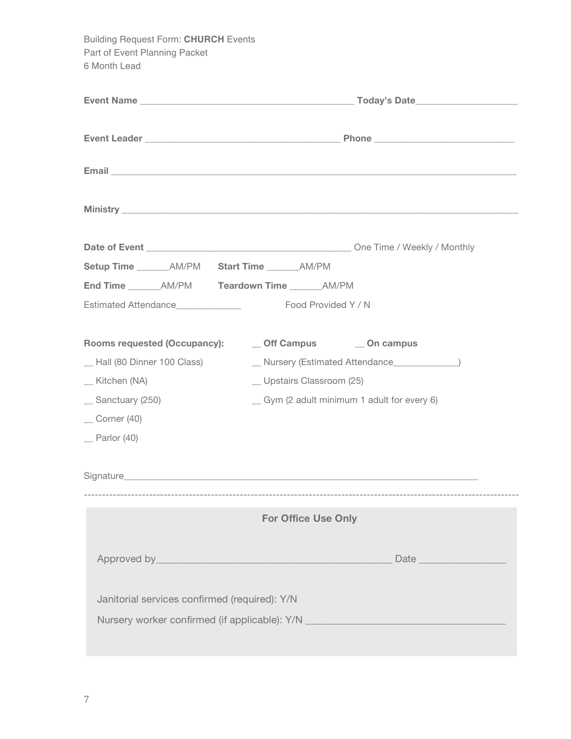Building Request Form: **CHURCH** Events Part of Event Planning Packet 6 Month Lead **Event Name** \_\_\_\_\_\_\_\_\_\_\_\_\_\_\_\_\_\_\_\_\_\_\_\_\_\_\_\_\_\_\_\_\_\_\_\_\_\_\_\_\_\_\_\_\_\_ **Today's Date**\_\_\_\_\_\_\_\_\_\_\_\_\_\_\_\_\_\_\_\_\_\_ **Event Leader \_**\_\_\_\_\_\_\_\_\_\_\_\_\_\_\_\_\_\_\_\_\_\_\_\_\_\_\_\_\_\_\_\_\_\_\_\_\_\_\_\_\_ **Phone** \_\_\_\_\_\_\_\_\_\_\_\_\_\_\_\_\_\_\_\_\_\_\_\_\_\_\_\_\_\_ **Email** \_\_\_\_\_\_\_\_\_\_\_\_\_\_\_\_\_\_\_\_\_\_\_\_\_\_\_\_\_\_\_\_\_\_\_\_\_\_\_\_\_\_\_\_\_\_\_\_\_\_\_\_\_\_\_\_\_\_\_\_\_\_\_\_\_\_\_\_\_\_\_\_\_\_\_\_\_\_\_\_\_\_\_\_\_\_\_ **Ministry** \_\_\_\_\_\_\_\_\_\_\_\_\_\_\_\_\_\_\_\_\_\_\_\_\_\_\_\_\_\_\_\_\_\_\_\_\_\_\_\_\_\_\_\_\_\_\_\_\_\_\_\_\_\_\_\_\_\_\_\_\_\_\_\_\_\_\_\_\_\_\_\_\_\_\_\_\_\_\_\_\_\_\_\_\_ **Date of Event** \_\_\_\_\_\_\_\_\_\_\_\_\_\_\_\_\_\_\_\_\_\_\_\_\_\_\_\_\_\_\_\_\_\_\_\_\_\_\_\_\_\_\_\_ One Time / Weekly / Monthly **Setup Time** \_\_\_\_\_\_\_AM/PM **Start Time** \_\_\_\_\_\_\_AM/PM **End Time** \_\_\_\_\_\_\_AM/PM **Teardown Time** \_\_\_\_\_\_\_AM/PM Estimated Attendance The Cool Provided Y / N **Rooms requested (Occupancy):** \_\_ **Off Campus** \_\_ **On campus** \_\_ Hall (80 Dinner 100 Class) \_\_ Nursery (Estimated Attendance\_\_\_\_\_\_\_\_\_\_\_\_\_\_) Kitchen (NA) die eerste verschieden verschieden Upstairs Classroom (25) \_\_ Sanctuary (250) \_\_ Gym (2 adult minimum 1 adult for every 6)  $\equiv$  Corner (40) Parlor (40) Signature **Example 20** and  $\overline{S}$  and  $\overline{S}$  and  $\overline{S}$  and  $\overline{S}$  and  $\overline{S}$  and  $\overline{S}$  and  $\overline{S}$  and  $\overline{S}$  and  $\overline{S}$  and  $\overline{S}$  and  $\overline{S}$  and  $\overline{S}$  and  $\overline{S}$  and  $\overline{S}$  and  $\overline{S}$  and ------------------------------------------------------------------------------------------------------------------------ **For Office Use Only** Approved by\_\_\_\_\_\_\_\_\_\_\_\_\_\_\_\_\_\_\_\_\_\_\_\_\_\_\_\_\_\_\_\_\_\_\_\_\_\_\_\_\_\_\_\_\_\_ Date \_\_\_\_\_\_\_\_\_\_\_\_\_\_\_\_\_ Janitorial services confirmed (required): Y/N Nursery worker confirmed (if applicable): Y/N \_\_\_\_\_\_\_\_\_\_\_\_\_\_\_\_\_\_\_\_\_\_\_\_\_\_\_\_\_\_\_\_\_\_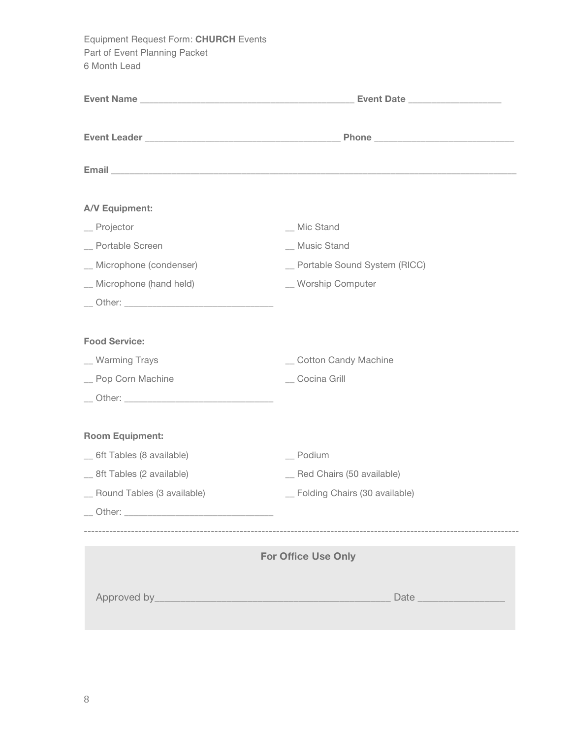Equipment Request Form: **CHURCH** Events Part of Event Planning Packet 6 Month Lead

| A/V Equipment:               |                                 |  |  |  |  |
|------------------------------|---------------------------------|--|--|--|--|
| $\equiv$ Projector           | _ Mic Stand                     |  |  |  |  |
| _ Portable Screen            | _ Music Stand                   |  |  |  |  |
| _ Microphone (condenser)     | _ Portable Sound System (RICC)  |  |  |  |  |
| _ Microphone (hand held)     | _ Worship Computer              |  |  |  |  |
|                              |                                 |  |  |  |  |
| <b>Food Service:</b>         |                                 |  |  |  |  |
| _ Warming Trays              | _ Cotton Candy Machine          |  |  |  |  |
| _ Pop Corn Machine           | _ Cocina Grill                  |  |  |  |  |
|                              |                                 |  |  |  |  |
| <b>Room Equipment:</b>       |                                 |  |  |  |  |
| _ 6ft Tables (8 available)   | $\equiv$ Podium                 |  |  |  |  |
| _ 8ft Tables (2 available)   | _ Red Chairs (50 available)     |  |  |  |  |
| _ Round Tables (3 available) | _ Folding Chairs (30 available) |  |  |  |  |
|                              |                                 |  |  |  |  |
|                              | <b>For Office Use Only</b>      |  |  |  |  |
|                              |                                 |  |  |  |  |
|                              |                                 |  |  |  |  |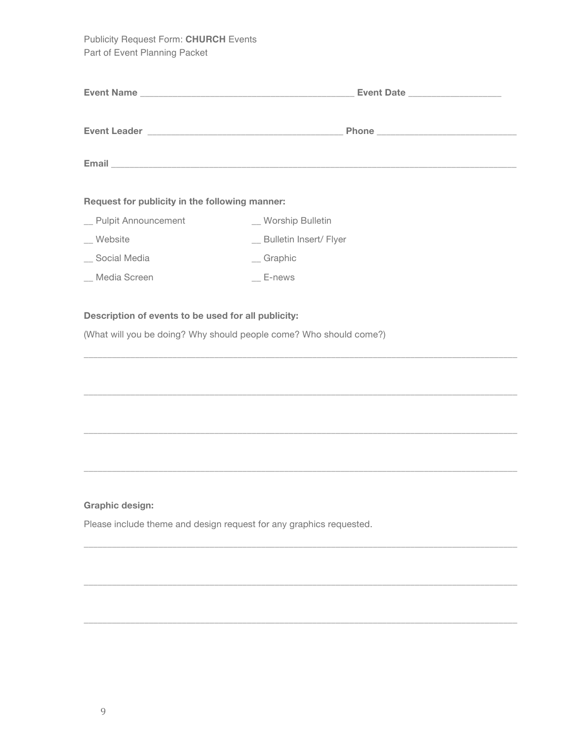Publicity Request Form: **CHURCH** Events Part of Event Planning Packet

|                                                | Event Date               |
|------------------------------------------------|--------------------------|
|                                                |                          |
|                                                |                          |
| Request for publicity in the following manner: |                          |
| _ Pulpit Announcement                          | _ Worship Bulletin       |
| Website                                        | _ Bulletin Insert/ Flyer |
| Social Media                                   | $\equiv$ Graphic         |
| _ Media Screen                                 | E-news                   |

\_\_\_\_\_\_\_\_\_\_\_\_\_\_\_\_\_\_\_\_\_\_\_\_\_\_\_\_\_\_\_\_\_\_\_\_\_\_\_\_\_\_\_\_\_\_\_\_\_\_\_\_\_\_\_\_\_\_\_\_\_\_\_\_\_\_\_\_\_\_\_\_\_\_\_\_\_\_\_\_\_\_\_\_\_\_\_\_\_\_\_\_\_

\_\_\_\_\_\_\_\_\_\_\_\_\_\_\_\_\_\_\_\_\_\_\_\_\_\_\_\_\_\_\_\_\_\_\_\_\_\_\_\_\_\_\_\_\_\_\_\_\_\_\_\_\_\_\_\_\_\_\_\_\_\_\_\_\_\_\_\_\_\_\_\_\_\_\_\_\_\_\_\_\_\_\_\_\_\_\_\_\_\_\_\_\_

 $\overline{\phantom{a}}$  ,  $\overline{\phantom{a}}$  ,  $\overline{\phantom{a}}$  ,  $\overline{\phantom{a}}$  ,  $\overline{\phantom{a}}$  ,  $\overline{\phantom{a}}$  ,  $\overline{\phantom{a}}$  ,  $\overline{\phantom{a}}$  ,  $\overline{\phantom{a}}$  ,  $\overline{\phantom{a}}$  ,  $\overline{\phantom{a}}$  ,  $\overline{\phantom{a}}$  ,  $\overline{\phantom{a}}$  ,  $\overline{\phantom{a}}$  ,  $\overline{\phantom{a}}$  ,  $\overline{\phantom{a}}$ 

\_\_\_\_\_\_\_\_\_\_\_\_\_\_\_\_\_\_\_\_\_\_\_\_\_\_\_\_\_\_\_\_\_\_\_\_\_\_\_\_\_\_\_\_\_\_\_\_\_\_\_\_\_\_\_\_\_\_\_\_\_\_\_\_\_\_\_\_\_\_\_\_\_\_\_\_\_\_\_\_\_\_\_\_\_\_\_\_\_\_\_\_\_

 $\mathcal{L}_\mathcal{L} = \{ \mathcal{L}_\mathcal{L} = \{ \mathcal{L}_\mathcal{L} = \{ \mathcal{L}_\mathcal{L} = \{ \mathcal{L}_\mathcal{L} = \{ \mathcal{L}_\mathcal{L} = \{ \mathcal{L}_\mathcal{L} = \{ \mathcal{L}_\mathcal{L} = \{ \mathcal{L}_\mathcal{L} = \{ \mathcal{L}_\mathcal{L} = \{ \mathcal{L}_\mathcal{L} = \{ \mathcal{L}_\mathcal{L} = \{ \mathcal{L}_\mathcal{L} = \{ \mathcal{L}_\mathcal{L} = \{ \mathcal{L}_\mathcal{$ 

 $\overline{\phantom{a}}$  ,  $\overline{\phantom{a}}$  ,  $\overline{\phantom{a}}$  ,  $\overline{\phantom{a}}$  ,  $\overline{\phantom{a}}$  ,  $\overline{\phantom{a}}$  ,  $\overline{\phantom{a}}$  ,  $\overline{\phantom{a}}$  ,  $\overline{\phantom{a}}$  ,  $\overline{\phantom{a}}$  ,  $\overline{\phantom{a}}$  ,  $\overline{\phantom{a}}$  ,  $\overline{\phantom{a}}$  ,  $\overline{\phantom{a}}$  ,  $\overline{\phantom{a}}$  ,  $\overline{\phantom{a}}$ 

\_\_\_\_\_\_\_\_\_\_\_\_\_\_\_\_\_\_\_\_\_\_\_\_\_\_\_\_\_\_\_\_\_\_\_\_\_\_\_\_\_\_\_\_\_\_\_\_\_\_\_\_\_\_\_\_\_\_\_\_\_\_\_\_\_\_\_\_\_\_\_\_\_\_\_\_\_\_\_\_\_\_\_\_\_\_\_\_\_\_\_\_\_

#### **Description of events to be used for all publicity:**

(What will you be doing? Why should people come? Who should come?)

#### **Graphic design:**

Please include theme and design request for any graphics requested.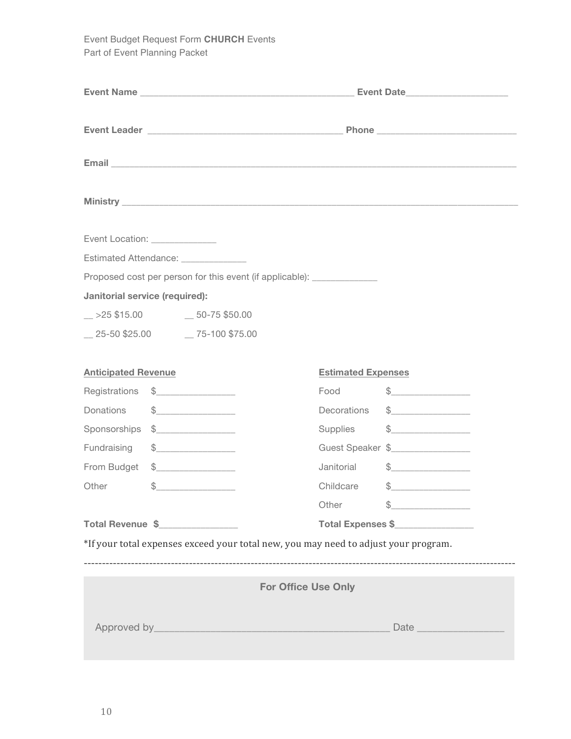Event Budget Request Form **CHURCH** Events Part of Event Planning Packet

|                                       |                                                                                                                                                                                                                                                                                                                                                     |                                                                                     |                           | Email <b>Executive Construction of the Construction Construction Construction Construction Construction Construction</b>                                                                                                                                                                                                                            |
|---------------------------------------|-----------------------------------------------------------------------------------------------------------------------------------------------------------------------------------------------------------------------------------------------------------------------------------------------------------------------------------------------------|-------------------------------------------------------------------------------------|---------------------------|-----------------------------------------------------------------------------------------------------------------------------------------------------------------------------------------------------------------------------------------------------------------------------------------------------------------------------------------------------|
|                                       |                                                                                                                                                                                                                                                                                                                                                     |                                                                                     |                           |                                                                                                                                                                                                                                                                                                                                                     |
| Event Location: ______________        |                                                                                                                                                                                                                                                                                                                                                     |                                                                                     |                           |                                                                                                                                                                                                                                                                                                                                                     |
| Estimated Attendance: _______________ |                                                                                                                                                                                                                                                                                                                                                     |                                                                                     |                           |                                                                                                                                                                                                                                                                                                                                                     |
|                                       |                                                                                                                                                                                                                                                                                                                                                     | Proposed cost per person for this event (if applicable): ______________             |                           |                                                                                                                                                                                                                                                                                                                                                     |
| Janitorial service (required):        |                                                                                                                                                                                                                                                                                                                                                     |                                                                                     |                           |                                                                                                                                                                                                                                                                                                                                                     |
| $-$ >25 \$15.00 $-$ 50-75 \$50.00     |                                                                                                                                                                                                                                                                                                                                                     |                                                                                     |                           |                                                                                                                                                                                                                                                                                                                                                     |
| 25-50 \$25.00 75-100 \$75.00          |                                                                                                                                                                                                                                                                                                                                                     |                                                                                     |                           |                                                                                                                                                                                                                                                                                                                                                     |
| <b>Anticipated Revenue</b>            |                                                                                                                                                                                                                                                                                                                                                     |                                                                                     | <b>Estimated Expenses</b> |                                                                                                                                                                                                                                                                                                                                                     |
| Registrations                         | $\frac{1}{2}$                                                                                                                                                                                                                                                                                                                                       |                                                                                     | Food                      | $\frac{1}{2}$                                                                                                                                                                                                                                                                                                                                       |
| Donations                             | $\begin{picture}(20,10) \put(0,0){\line(1,0){10}} \put(15,0){\line(1,0){10}} \put(15,0){\line(1,0){10}} \put(15,0){\line(1,0){10}} \put(15,0){\line(1,0){10}} \put(15,0){\line(1,0){10}} \put(15,0){\line(1,0){10}} \put(15,0){\line(1,0){10}} \put(15,0){\line(1,0){10}} \put(15,0){\line(1,0){10}} \put(15,0){\line(1,0){10}} \put(15,0){\line(1$ |                                                                                     | Decorations               | $\begin{picture}(20,10) \put(0,0){\line(1,0){10}} \put(15,0){\line(1,0){10}} \put(15,0){\line(1,0){10}} \put(15,0){\line(1,0){10}} \put(15,0){\line(1,0){10}} \put(15,0){\line(1,0){10}} \put(15,0){\line(1,0){10}} \put(15,0){\line(1,0){10}} \put(15,0){\line(1,0){10}} \put(15,0){\line(1,0){10}} \put(15,0){\line(1,0){10}} \put(15,0){\line(1$ |
| Sponsorships                          | $\begin{array}{c c} \n\text{\textcolor{red}{\large\textbf{$\mathcal{S}$}}}\n\end{array}$                                                                                                                                                                                                                                                            |                                                                                     | Supplies                  | $\begin{picture}(20,10) \put(0,0){\line(1,0){10}} \put(15,0){\line(1,0){10}} \put(15,0){\line(1,0){10}} \put(15,0){\line(1,0){10}} \put(15,0){\line(1,0){10}} \put(15,0){\line(1,0){10}} \put(15,0){\line(1,0){10}} \put(15,0){\line(1,0){10}} \put(15,0){\line(1,0){10}} \put(15,0){\line(1,0){10}} \put(15,0){\line(1,0){10}} \put(15,0){\line(1$ |
| Fundraising                           | $\qquad \qquad \, \text{\normalsize $s$} \underline{\hspace{10mm}} \qquad \qquad \, \text{\normalsize $s$}$                                                                                                                                                                                                                                         |                                                                                     |                           | Guest Speaker \$                                                                                                                                                                                                                                                                                                                                    |
| From Budget                           | $\begin{array}{c c c c c} \hline \text{S} & \text{S} & \text{S} & \text{S} & \text{S} & \text{S} \\ \hline \end{array}$                                                                                                                                                                                                                             |                                                                                     | Janitorial                | $\begin{picture}(20,10) \put(0,0){\line(1,0){10}} \put(15,0){\line(1,0){10}} \put(15,0){\line(1,0){10}} \put(15,0){\line(1,0){10}} \put(15,0){\line(1,0){10}} \put(15,0){\line(1,0){10}} \put(15,0){\line(1,0){10}} \put(15,0){\line(1,0){10}} \put(15,0){\line(1,0){10}} \put(15,0){\line(1,0){10}} \put(15,0){\line(1,0){10}} \put(15,0){\line(1$ |
| Other                                 | $\begin{array}{c} \updownarrow \\ \downarrow \end{array}$                                                                                                                                                                                                                                                                                           |                                                                                     | Childcare                 | $\frac{1}{2}$                                                                                                                                                                                                                                                                                                                                       |
|                                       |                                                                                                                                                                                                                                                                                                                                                     |                                                                                     | Other                     | $\frac{1}{2}$                                                                                                                                                                                                                                                                                                                                       |
| Total Revenue \$                      |                                                                                                                                                                                                                                                                                                                                                     |                                                                                     |                           | Total Expenses \$                                                                                                                                                                                                                                                                                                                                   |
|                                       |                                                                                                                                                                                                                                                                                                                                                     | *If your total expenses exceed your total new, you may need to adjust your program. |                           |                                                                                                                                                                                                                                                                                                                                                     |
|                                       |                                                                                                                                                                                                                                                                                                                                                     |                                                                                     |                           |                                                                                                                                                                                                                                                                                                                                                     |
|                                       |                                                                                                                                                                                                                                                                                                                                                     | <b>For Office Use Only</b>                                                          |                           |                                                                                                                                                                                                                                                                                                                                                     |
|                                       |                                                                                                                                                                                                                                                                                                                                                     |                                                                                     |                           |                                                                                                                                                                                                                                                                                                                                                     |